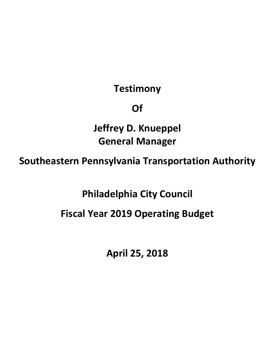## **Testimony**

## **Of**

**Jeffrey D. Knueppel General Manager** 

**Southeastern Pennsylvania Transportation Authority** 

**Philadelphia City Council** 

## **Fiscal Year 2019 Operating Budget**

**April 25, 2018**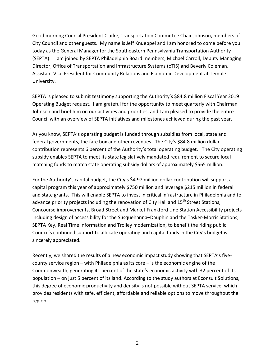Good morning Council President Clarke, Transportation Committee Chair Johnson, members of City Council and other guests. My name is Jeff Knueppel and I am honored to come before you today as the General Manager for the Southeastern Pennsylvania Transportation Authority (SEPTA). I am joined by SEPTA Philadelphia Board members, Michael Carroll, Deputy Managing Director, Office of Transportation and Infrastructure Systems (oTIS) and Beverly Coleman, Assistant Vice President for Community Relations and Economic Development at Temple University.

SEPTA is pleased to submit testimony supporting the Authority's \$84.8 million Fiscal Year 2019 Operating Budget request. I am grateful for the opportunity to meet quarterly with Chairman Johnson and brief him on our activities and priorities, and I am pleased to provide the entire Council with an overview of SEPTA initiatives and milestones achieved during the past year.

As you know, SEPTA's operating budget is funded through subsidies from local, state and federal governments, the fare box and other revenues. The City's \$84.8 million dollar contribution represents 6 percent of the Authority's total operating budget. The City operating subsidy enables SEPTA to meet its state legislatively mandated requirement to secure local matching funds to match state operating subsidy dollars of approximately \$565 million.

For the Authority's capital budget, the City's \$4.97 million dollar contribution will support a capital program this year of approximately \$750 million and leverage \$215 million in federal and state grants. This will enable SEPTA to invest in critical infrastructure in Philadelphia and to advance priority projects including the renovation of City Hall and  $15<sup>th</sup>$  Street Stations, Concourse improvements, Broad Street and Market Frankford Line Station Accessibility projects including design of accessibility for the Susquehanna–Dauphin and the Tasker-Morris Stations, SEPTA Key, Real Time Information and Trolley modernization, to benefit the riding public. Council's continued support to allocate operating and capital funds in the City's budget is sincerely appreciated.

Recently, we shared the results of a new economic impact study showing that SEPTA's fivecounty service region – with Philadelphia as its core – is the economic engine of the Commonwealth, generating 41 percent of the state's economic activity with 32 percent of its population – on just 5 percent of its land. According to the study authors at Econsult Solutions, this degree of economic productivity and density is not possible without SEPTA service, which provides residents with safe, efficient, affordable and reliable options to move throughout the region.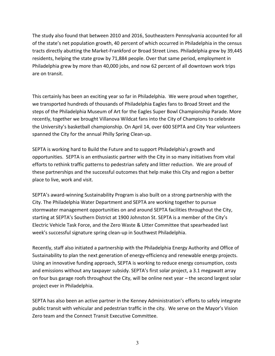The study also found that between 2010 and 2016, Southeastern Pennsylvania accounted for all of the state's net population growth, 40 percent of which occurred in Philadelphia in the census tracts directly abutting the Market-Frankford or Broad Street Lines. Philadelphia grew by 39,445 residents, helping the state grow by 71,884 people. Over that same period, employment in Philadelphia grew by more than 40,000 jobs, and now 62 percent of all downtown work trips are on transit.

This certainly has been an exciting year so far in Philadelphia. We were proud when together, we transported hundreds of thousands of Philadelphia Eagles fans to Broad Street and the steps of the Philadelphia Museum of Art for the Eagles Super Bowl Championship Parade. More recently, together we brought Villanova Wildcat fans into the City of Champions to celebrate the University's basketball championship. On April 14, over 600 SEPTA and City Year volunteers spanned the City for the annual Philly Spring Clean-up.

SEPTA is working hard to Build the Future and to support Philadelphia's growth and opportunities. SEPTA is an enthusiastic partner with the City in so many initiatives from vital efforts to rethink traffic patterns to pedestrian safety and litter reduction. We are proud of these partnerships and the successful outcomes that help make this City and region a better place to live, work and visit.

SEPTA's award-winning Sustainability Program is also built on a strong partnership with the City. The Philadelphia Water Department and SEPTA are working together to pursue stormwater management opportunities on and around SEPTA facilities throughout the City, starting at SEPTA's Southern District at 1900 Johnston St. SEPTA is a member of the City's Electric Vehicle Task Force, and the Zero Waste & Litter Committee that spearheaded last week's successful signature spring clean-up in Southwest Philadelphia.

Recently, staff also initiated a partnership with the Philadelphia Energy Authority and Office of Sustainability to plan the next generation of energy-efficiency and renewable energy projects. Using an innovative funding approach, SEPTA is working to reduce energy consumption, costs and emissions without any taxpayer subsidy. SEPTA's first solar project, a 3.1 megawatt array on four bus garage roofs throughout the City, will be online next year – the second largest solar project ever in Philadelphia.

SEPTA has also been an active partner in the Kenney Administration's efforts to safely integrate public transit with vehicular and pedestrian traffic in the city. We serve on the Mayor's Vision Zero team and the Connect Transit Executive Committee.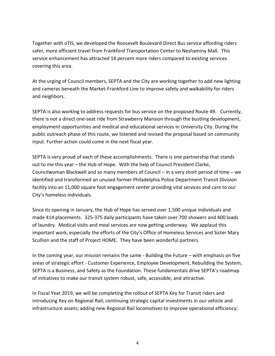Together with oTIS, we developed the Roosevelt Boulevard Direct Bus service affording riders safer, more efficient travel from Frankford Transportation Center to Neshaminy Mall. This service enhancement has attracted 14 percent more riders compared to existing services covering this area.

At the urging of Council members, SEPTA and the City are working together to add new lighting and cameras beneath the Market-Frankford Line to improve safety and walkability for riders and neighbors.

SEPTA is also working to address requests for bus service on the proposed Route 49. Currently, there is not a direct one-seat ride from Strawberry Mansion through the bustling development, employment opportunities and medical and educational services in University City. During the public outreach phase of this route, we listened and revised the proposal based on community input. Further action could come in the next fiscal year.

SEPTA is very proud of each of these accomplishments. There is one partnership that stands out to me this year – the Hub of Hope. With the help of Council President Clarke, Councilwoman Blackwell and so many members of Council – in a very short period of time – we identified and transformed an unused former Philadelphia Police Department Transit Division facility into an 11,000 square foot engagement center providing vital services and care to our City's homeless individuals.

Since its opening in January, the Hub of Hope has served over 1,500 unique individuals and made 414 placements. 325-375 daily participants have taken over 700 showers and 400 loads of laundry. Medical visits and meal services are now getting underway. We applaud this important work, especially the efforts of the City's Office of Homeless Services and Sister Mary Scullion and the staff of Project HOME. They have been wonderful partners.

In the coming year, our mission remains the same - Building the Future – with emphasis on five areas of strategic effort - Customer Experience, Employee Development, Rebuilding the System, SEPTA is a Business, and Safety as the Foundation. These fundamentals drive SEPTA's roadmap of initiatives to make our transit system robust, safe, accessible, and attractive.

In Fiscal Year 2019, we will be completing the rollout of SEPTA Key for Transit riders and introducing Key on Regional Rail; continuing strategic capital investments in our vehicle and infrastructure assets; adding new Regional Rail locomotives to improve operational efficiency;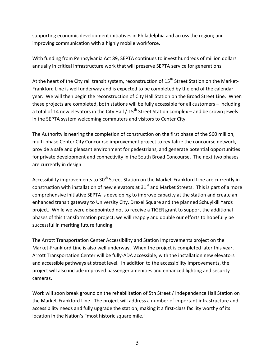supporting economic development initiatives in Philadelphia and across the region; and improving communication with a highly mobile workforce.

With funding from Pennsylvania Act 89, SEPTA continues to invest hundreds of million dollars annually in critical infrastructure work that will preserve SEPTA service for generations.

At the heart of the City rail transit system, reconstruction of 15<sup>th</sup> Street Station on the Market-Frankford Line is well underway and is expected to be completed by the end of the calendar year. We will then begin the reconstruction of City Hall Station on the Broad Street Line. When these projects are completed, both stations will be fully accessible for all customers – including a total of 14 new elevators in the City Hall /  $15<sup>th</sup>$  Street Station complex – and be crown jewels in the SEPTA system welcoming commuters and visitors to Center City.

The Authority is nearing the completion of construction on the first phase of the \$60 million, multi-phase Center City Concourse improvement project to revitalize the concourse network, provide a safe and pleasant environment for pedestrians, and generate potential opportunities for private development and connectivity in the South Broad Concourse. The next two phases are currently in design

Accessibility improvements to  $30<sup>th</sup>$  Street Station on the Market-Frankford Line are currently in construction with installation of new elevators at  $31<sup>st</sup>$  and Market Streets. This is part of a more comprehensive initiative SEPTA is developing to improve capacity at the station and create an enhanced transit gateway to University City, Drexel Square and the planned Schuylkill Yards project. While we were disappointed not to receive a TIGER grant to support the additional phases of this transformation project, we will reapply and double our efforts to hopefully be successful in meriting future funding.

The Arrott Transportation Center Accessibility and Station Improvements project on the Market-Frankford Line is also well underway. When the project is completed later this year, Arrott Transportation Center will be fully-ADA accessible, with the installation new elevators and accessible pathways at street level. In addition to the accessibility improvements, the project will also include improved passenger amenities and enhanced lighting and security cameras.

Work will soon break ground on the rehabilitation of 5th Street / Independence Hall Station on the Market-Frankford Line. The project will address a number of important infrastructure and accessibility needs and fully upgrade the station, making it a first-class facility worthy of its location in the Nation's "most historic square mile."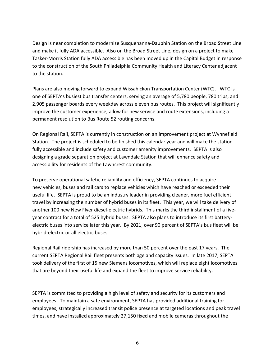Design is near completion to modernize Susquehanna-Dauphin Station on the Broad Street Line and make it fully ADA accessible. Also on the Broad Street Line, design on a project to make Tasker-Morris Station fully ADA accessible has been moved up in the Capital Budget in response to the construction of the South Philadelphia Community Health and Literacy Center adjacent to the station.

Plans are also moving forward to expand Wissahickon Transportation Center (WTC). WTC is one of SEPTA's busiest bus transfer centers, serving an average of 5,780 people, 780 trips, and 2,905 passenger boards every weekday across eleven bus routes. This project will significantly improve the customer experience, allow for new service and route extensions, including a permanent resolution to Bus Route 52 routing concerns.

On Regional Rail, SEPTA is currently in construction on an improvement project at Wynnefield Station. The project is scheduled to be finished this calendar year and will make the station fully accessible and include safety and customer amenity improvements. SEPTA is also designing a grade separation project at Lawndale Station that will enhance safety and accessibility for residents of the Lawncrest community.

To preserve operational safety, reliability and efficiency, SEPTA continues to acquire new vehicles, buses and rail cars to replace vehicles which have reached or exceeded their useful life. SEPTA is proud to be an industry leader in providing cleaner, more fuel efficient travel by increasing the number of hybrid buses in its fleet. This year, we will take delivery of another 100 new New Flyer diesel-electric hybrids. This marks the third installment of a fiveyear contract for a total of 525 hybrid buses. SEPTA also plans to introduce its first batteryelectric buses into service later this year. By 2021, over 90 percent of SEPTA's bus fleet will be hybrid-electric or all electric buses.

Regional Rail ridership has increased by more than 50 percent over the past 17 years. The current SEPTA Regional Rail fleet presents both age and capacity issues. In late 2017, SEPTA took delivery of the first of 15 new Siemens locomotives, which will replace eight locomotives that are beyond their useful life and expand the fleet to improve service reliability.

SEPTA is committed to providing a high level of safety and security for its customers and employees. To maintain a safe environment, SEPTA has provided additional training for employees, strategically increased transit police presence at targeted locations and peak travel times, and have installed approximately 27,150 fixed and mobile cameras throughout the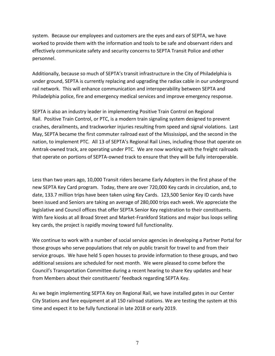system. Because our employees and customers are the eyes and ears of SEPTA, we have worked to provide them with the information and tools to be safe and observant riders and effectively communicate safety and security concerns to SEPTA Transit Police and other personnel.

Additionally, because so much of SEPTA's transit infrastructure in the City of Philadelphia is under ground, SEPTA is currently replacing and upgrading the radiax cable in our underground rail network. This will enhance communication and interoperability between SEPTA and Philadelphia police, fire and emergency medical services and improve emergency response.

SEPTA is also an industry leader in implementing Positive Train Control on Regional Rail. Positive Train Control, or PTC, is a modern train signaling system designed to prevent crashes, derailments, and trackworker injuries resulting from speed and signal violations. Last May, SEPTA became the first commuter railroad east of the Mississippi, and the second in the nation, to implement PTC. All 13 of SEPTA's Regional Rail Lines, including those that operate on Amtrak-owned track, are operating under PTC. We are now working with the freight railroads that operate on portions of SEPTA-owned track to ensure that they will be fully interoperable.

Less than two years ago, 10,000 Transit riders became Early Adopters in the first phase of the new SEPTA Key Card program. Today, there are over 720,000 Key cards in circulation, and, to date, 133.7 million trips have been taken using Key Cards. 123,500 Senior Key ID cards have been issued and Seniors are taking an average of 280,000 trips each week. We appreciate the legislative and Council offices that offer SEPTA Senior Key registration to their constituents. With fare kiosks at all Broad Street and Market-Frankford Stations and major bus loops selling key cards, the project is rapidly moving toward full functionality.

We continue to work with a number of social service agencies in developing a Partner Portal for those groups who serve populations that rely on public transit for travel to and from their service groups. We have held 5 open houses to provide information to these groups, and two additional sessions are scheduled for next month. We were pleased to come before the Council's Transportation Committee during a recent hearing to share Key updates and hear from Members about their constituents' feedback regarding SEPTA Key.

As we begin implementing SEPTA Key on Regional Rail, we have installed gates in our Center City Stations and fare equipment at all 150 railroad stations. We are testing the system at this time and expect it to be fully functional in late 2018 or early 2019.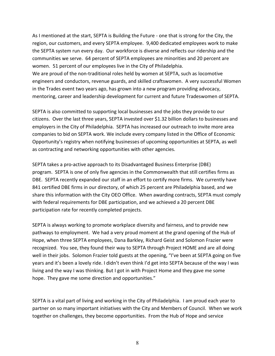As I mentioned at the start, SEPTA is Building the Future - one that is strong for the City, the region, our customers, and every SEPTA employee. 9,400 dedicated employees work to make the SEPTA system run every day. Our workforce is diverse and reflects our ridership and the communities we serve. 64 percent of SEPTA employees are minorities and 20 percent are women. 51 percent of our employees live in the City of Philadelphia.

We are proud of the non-traditional roles held by women at SEPTA, such as locomotive engineers and conductors, revenue guards, and skilled craftswomen. A very successful Women in the Trades event two years ago, has grown into a new program providing advocacy, mentoring, career and leadership development for current and future Tradeswomen of SEPTA.

SEPTA is also committed to supporting local businesses and the jobs they provide to our citizens. Over the last three years, SEPTA invested over \$1.32 billion dollars to businesses and employers in the City of Philadelphia. SEPTA has increased our outreach to invite more area companies to bid on SEPTA work. We include every company listed in the Office of Economic Opportunity's registry when notifying businesses of upcoming opportunities at SEPTA, as well as contracting and networking opportunities with other agencies.

SEPTA takes a pro-active approach to its Disadvantaged Business Enterprise (DBE) program. SEPTA is one of only five agencies in the Commonwealth that still certifies firms as DBE. SEPTA recently expanded our staff in an effort to certify more firms. We currently have 841 certified DBE firms in our directory, of which 25 percent are Philadelphia based, and we share this information with the City OEO Office. When awarding contracts, SEPTA must comply with federal requirements for DBE participation, and we achieved a 20 percent DBE participation rate for recently completed projects.

SEPTA is always working to promote workplace diversity and fairness, and to provide new pathways to employment. We had a very proud moment at the grand opening of the Hub of Hope, when three SEPTA employees, Dana Barkley, Richard Geist and Solomon Frazier were recognized. You see, they found their way to SEPTA through Project HOME and are all doing well in their jobs. Solomon Frazier told guests at the opening, "I've been at SEPTA going on five years and it's been a lovely ride. I didn't even think I'd get into SEPTA because of the way I was living and the way I was thinking. But I got in with Project Home and they gave me some hope. They gave me some direction and opportunities."

SEPTA is a vital part of living and working in the City of Philadelphia. I am proud each year to partner on so many important initiatives with the City and Members of Council. When we work together on challenges, they become opportunities. From the Hub of Hope and service